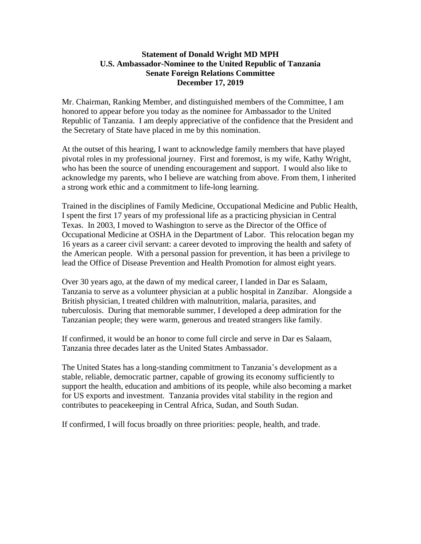## **Statement of Donald Wright MD MPH U.S. Ambassador-Nominee to the United Republic of Tanzania Senate Foreign Relations Committee December 17, 2019**

Mr. Chairman, Ranking Member, and distinguished members of the Committee, I am honored to appear before you today as the nominee for Ambassador to the United Republic of Tanzania. I am deeply appreciative of the confidence that the President and the Secretary of State have placed in me by this nomination.

At the outset of this hearing, I want to acknowledge family members that have played pivotal roles in my professional journey. First and foremost, is my wife, Kathy Wright, who has been the source of unending encouragement and support. I would also like to acknowledge my parents, who I believe are watching from above. From them, I inherited a strong work ethic and a commitment to life-long learning.

Trained in the disciplines of Family Medicine, Occupational Medicine and Public Health, I spent the first 17 years of my professional life as a practicing physician in Central Texas. In 2003, I moved to Washington to serve as the Director of the Office of Occupational Medicine at OSHA in the Department of Labor. This relocation began my 16 years as a career civil servant: a career devoted to improving the health and safety of the American people. With a personal passion for prevention, it has been a privilege to lead the Office of Disease Prevention and Health Promotion for almost eight years.

Over 30 years ago, at the dawn of my medical career, I landed in Dar es Salaam, Tanzania to serve as a volunteer physician at a public hospital in Zanzibar. Alongside a British physician, I treated children with malnutrition, malaria, parasites, and tuberculosis. During that memorable summer, I developed a deep admiration for the Tanzanian people; they were warm, generous and treated strangers like family.

If confirmed, it would be an honor to come full circle and serve in Dar es Salaam, Tanzania three decades later as the United States Ambassador.

The United States has a long-standing commitment to Tanzania's development as a stable, reliable, democratic partner, capable of growing its economy sufficiently to support the health, education and ambitions of its people, while also becoming a market for US exports and investment. Tanzania provides vital stability in the region and contributes to peacekeeping in Central Africa, Sudan, and South Sudan.

If confirmed, I will focus broadly on three priorities: people, health, and trade.